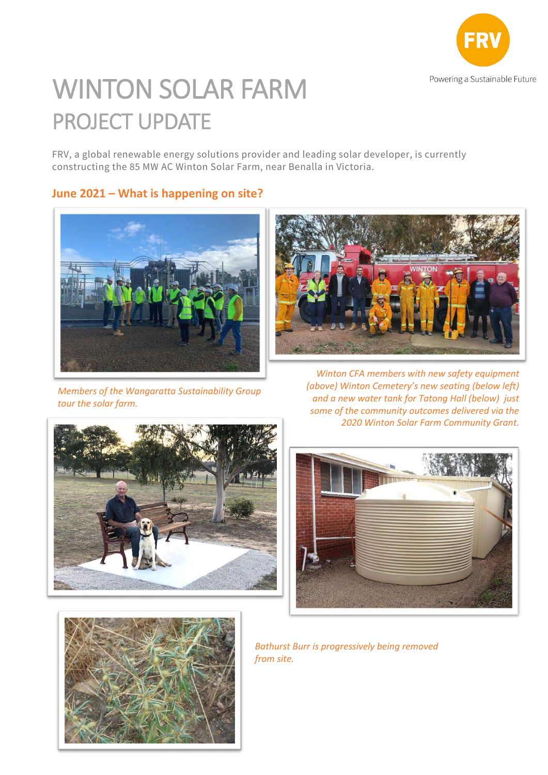

## WINTON SOLAR FARM PROJECT UPDATE

FRV, a global renewable energy solutions provider and leading solar developer, is currently constructing the 85 MW AC Winton Solar Farm, near Benalla in Victoria.

**June 2021 – What is happening on site?**



*Members of the Wangaratta Sustainability Group tour the solar farm.*





*Winton CFA members with new safety equipment (above) Winton Cemetery's new seating (below left) and a new water tank for Tatong Hall (below) just some of the community outcomes delivered via the 2020 Winton Solar Farm Community Grant.*





*Bathurst Burr is progressively being removed from site.*